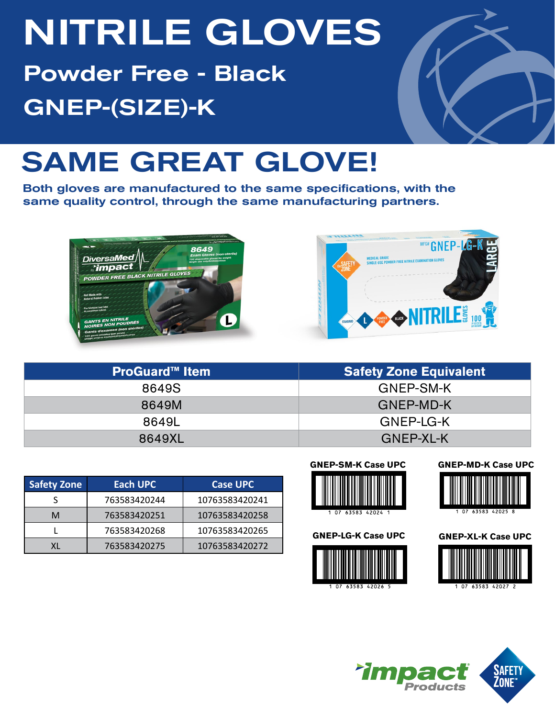# NITRILE GLOVES

Powder Free - Black GNEP-(SIZE)-K



## SAME GREAT GLOVE!

Both gloves are manufactured to the same specifications, with the same quality control, through the same manufacturing partners.





| <b>ProGuard™ Item</b> | <b>Safety Zone Equivalent</b> |
|-----------------------|-------------------------------|
| 8649S                 | GNEP-SM-K                     |
| 8649M                 | <b>GNEP-MD-K</b>              |
| 8649L                 | GNEP-LG-K                     |
| 8649XL                | GNEP-XL-K                     |

| <b>Safety Zone</b> | Each UPC     | <b>Case UPC</b> |
|--------------------|--------------|-----------------|
|                    | 763583420244 | 10763583420241  |
| м                  | 763583420251 | 10763583420258  |
|                    | 763583420268 | 10763583420265  |
|                    | 763583420275 | 10763583420272  |













**GNEP-MD-K Case UPC**

**GNEP-XL-K Case UPC**